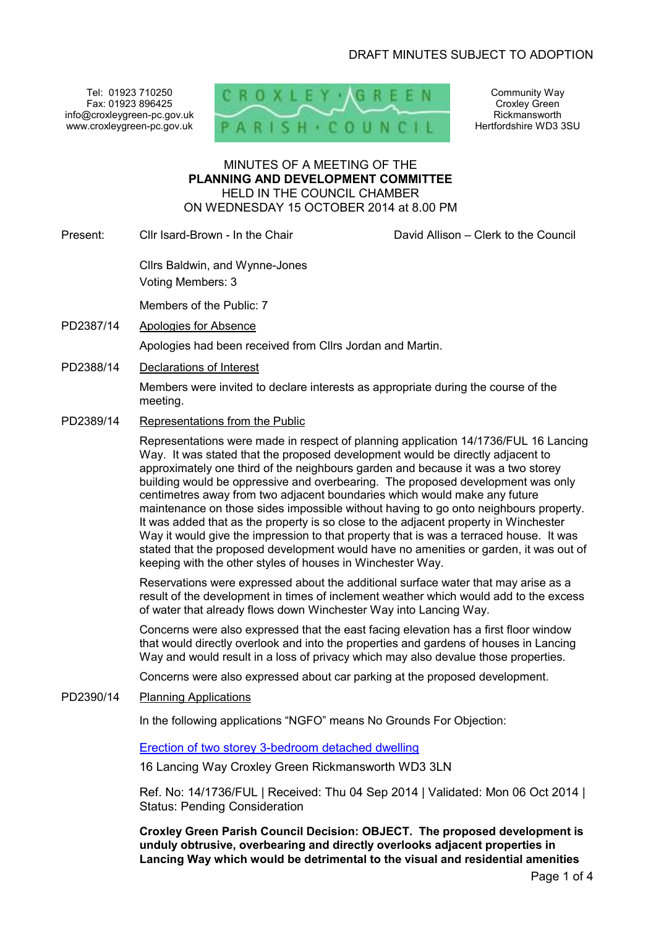Tel: 01923 710250 Fax: 01923 896425 info@croxleygreen-pc.gov.uk www.croxleygreen-pc.gov.uk



Community Way Croxley Green Rickmansworth Hertfordshire WD3 3SU

### MINUTES OF A MEETING OF THE **PLANNING AND DEVELOPMENT COMMITTEE** HELD IN THE COUNCIL CHAMBER ON WEDNESDAY 15 OCTOBER 2014 at 8.00 PM

Present: Cllr Isard-Brown - In the Chair **David Allison – Clerk to the Council** 

Cllrs Baldwin, and Wynne-Jones

Voting Members: 3

Members of the Public: 7

PD2387/14 Apologies for Absence

Apologies had been received from Cllrs Jordan and Martin.

PD2388/14 Declarations of Interest

Members were invited to declare interests as appropriate during the course of the meeting.

PD2389/14 Representations from the Public

Representations were made in respect of planning application 14/1736/FUL 16 Lancing Way. It was stated that the proposed development would be directly adjacent to approximately one third of the neighbours garden and because it was a two storey building would be oppressive and overbearing. The proposed development was only centimetres away from two adjacent boundaries which would make any future maintenance on those sides impossible without having to go onto neighbours property. It was added that as the property is so close to the adjacent property in Winchester Way it would give the impression to that property that is was a terraced house. It was stated that the proposed development would have no amenities or garden, it was out of keeping with the other styles of houses in Winchester Way.

Reservations were expressed about the additional surface water that may arise as a result of the development in times of inclement weather which would add to the excess of water that already flows down Winchester Way into Lancing Way.

Concerns were also expressed that the east facing elevation has a first floor window that would directly overlook and into the properties and gardens of houses in Lancing Way and would result in a loss of privacy which may also devalue those properties.

Concerns were also expressed about car parking at the proposed development.

### PD2390/14 Planning Applications

In the following applications "NGFO" means No Grounds For Objection:

Erection of two storey 3-bedroom detached dwelling

16 Lancing Way Croxley Green Rickmansworth WD3 3LN

Ref. No: 14/1736/FUL | Received: Thu 04 Sep 2014 | Validated: Mon 06 Oct 2014 | Status: Pending Consideration

**Croxley Green Parish Council Decision: OBJECT. The proposed development is unduly obtrusive, overbearing and directly overlooks adjacent properties in Lancing Way which would be detrimental to the visual and residential amenities**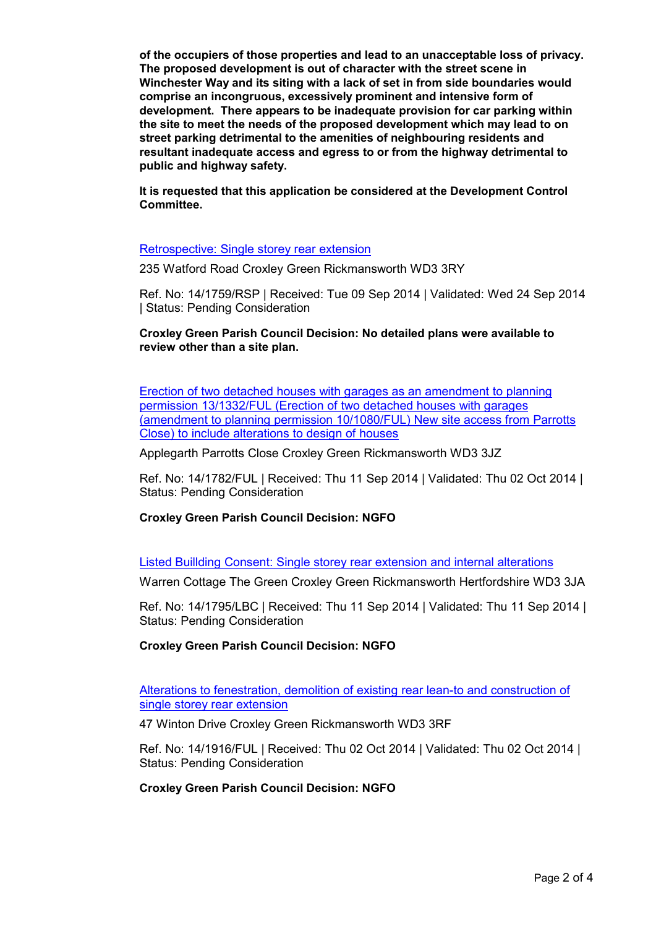**of the occupiers of those properties and lead to an unacceptable loss of privacy. The proposed development is out of character with the street scene in Winchester Way and its siting with a lack of set in from side boundaries would comprise an incongruous, excessively prominent and intensive form of development. There appears to be inadequate provision for car parking within the site to meet the needs of the proposed development which may lead to on street parking detrimental to the amenities of neighbouring residents and resultant inadequate access and egress to or from the highway detrimental to public and highway safety.** 

**It is requested that this application be considered at the Development Control Committee.** 

### Retrospective: Single storey rear extension

235 Watford Road Croxley Green Rickmansworth WD3 3RY

Ref. No: 14/1759/RSP | Received: Tue 09 Sep 2014 | Validated: Wed 24 Sep 2014 | Status: Pending Consideration

**Croxley Green Parish Council Decision: No detailed plans were available to review other than a site plan.** 

Erection of two detached houses with garages as an amendment to planning permission 13/1332/FUL (Erection of two detached houses with garages (amendment to planning permission 10/1080/FUL) New site access from Parrotts Close) to include alterations to design of houses

Applegarth Parrotts Close Croxley Green Rickmansworth WD3 3JZ

Ref. No: 14/1782/FUL | Received: Thu 11 Sep 2014 | Validated: Thu 02 Oct 2014 | Status: Pending Consideration

### **Croxley Green Parish Council Decision: NGFO**

Listed Buillding Consent: Single storey rear extension and internal alterations

Warren Cottage The Green Croxley Green Rickmansworth Hertfordshire WD3 3JA

Ref. No: 14/1795/LBC | Received: Thu 11 Sep 2014 | Validated: Thu 11 Sep 2014 | Status: Pending Consideration

### **Croxley Green Parish Council Decision: NGFO**

Alterations to fenestration, demolition of existing rear lean-to and construction of single storey rear extension

47 Winton Drive Croxley Green Rickmansworth WD3 3RF

Ref. No: 14/1916/FUL | Received: Thu 02 Oct 2014 | Validated: Thu 02 Oct 2014 | Status: Pending Consideration

#### **Croxley Green Parish Council Decision: NGFO**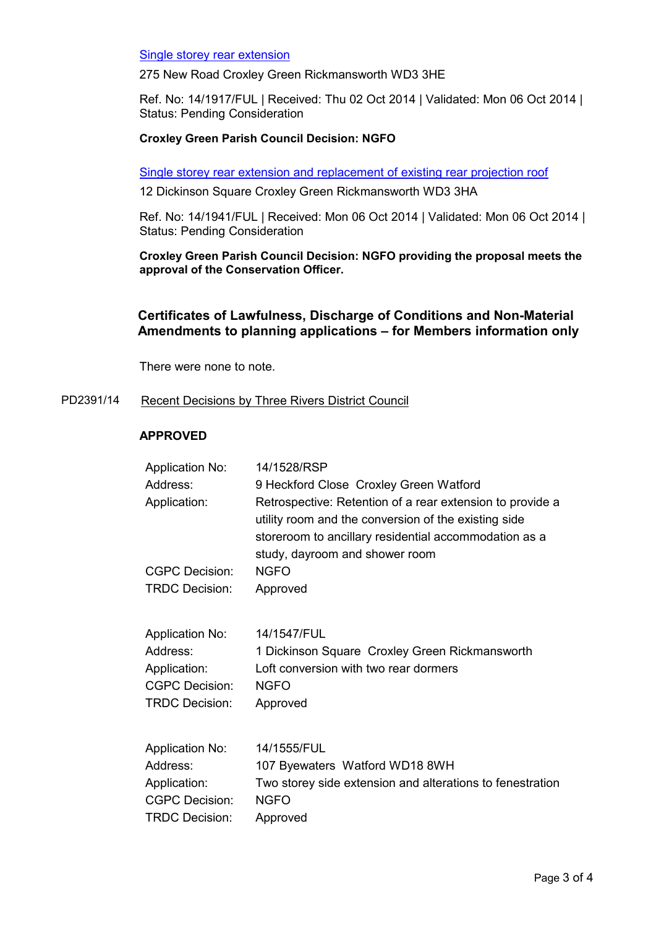## Single storey rear extension

275 New Road Croxley Green Rickmansworth WD3 3HE

Ref. No: 14/1917/FUL | Received: Thu 02 Oct 2014 | Validated: Mon 06 Oct 2014 | Status: Pending Consideration

# **Croxley Green Parish Council Decision: NGFO**

Single storey rear extension and replacement of existing rear projection roof

12 Dickinson Square Croxley Green Rickmansworth WD3 3HA

Ref. No: 14/1941/FUL | Received: Mon 06 Oct 2014 | Validated: Mon 06 Oct 2014 | Status: Pending Consideration

**Croxley Green Parish Council Decision: NGFO providing the proposal meets the approval of the Conservation Officer.** 

# **Certificates of Lawfulness, Discharge of Conditions and Non-Material Amendments to planning applications – for Members information only**

There were none to note.

PD2391/14 Recent Decisions by Three Rivers District Council

# **APPROVED**

| <b>Application No:</b> | 14/1528/RSP                                                                                                                                                                                                  |
|------------------------|--------------------------------------------------------------------------------------------------------------------------------------------------------------------------------------------------------------|
| Address:               | 9 Heckford Close Croxley Green Watford                                                                                                                                                                       |
| Application:           | Retrospective: Retention of a rear extension to provide a<br>utility room and the conversion of the existing side<br>storeroom to ancillary residential accommodation as a<br>study, dayroom and shower room |
| <b>CGPC Decision:</b>  | <b>NGFO</b>                                                                                                                                                                                                  |
| <b>TRDC Decision:</b>  | Approved                                                                                                                                                                                                     |
| <b>Application No:</b> | 14/1547/FUL                                                                                                                                                                                                  |
| Address:               | 1 Dickinson Square Croxley Green Rickmansworth                                                                                                                                                               |
| Application:           | Loft conversion with two rear dormers                                                                                                                                                                        |
| <b>CGPC Decision:</b>  | <b>NGFO</b>                                                                                                                                                                                                  |
| <b>TRDC Decision:</b>  | Approved                                                                                                                                                                                                     |
| <b>Application No:</b> | 14/1555/FUL                                                                                                                                                                                                  |
| Address:               | 107 Byewaters Watford WD18 8WH                                                                                                                                                                               |
| Application:           | Two storey side extension and alterations to fenestration                                                                                                                                                    |
| <b>CGPC Decision:</b>  | <b>NGFO</b>                                                                                                                                                                                                  |
| <b>TRDC Decision:</b>  | Approved                                                                                                                                                                                                     |